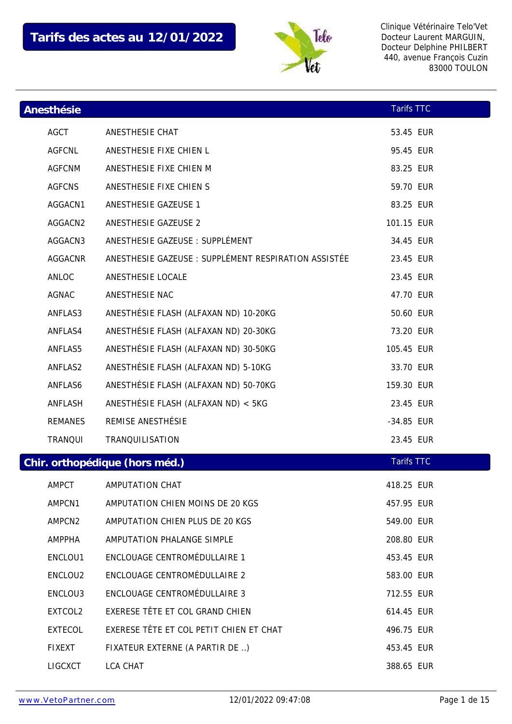

| Anesthésie     |                                                      | <b>Tarifs TTC</b> |  |
|----------------|------------------------------------------------------|-------------------|--|
| <b>AGCT</b>    | ANESTHESIE CHAT                                      | 53.45 EUR         |  |
| <b>AGFCNL</b>  | ANESTHESIE FIXE CHIEN L                              | 95.45 EUR         |  |
| <b>AGFCNM</b>  | ANESTHESIE FIXE CHIEN M                              | 83.25 EUR         |  |
| <b>AGFCNS</b>  | ANESTHESIE FIXE CHIEN S                              | 59.70 EUR         |  |
| AGGACN1        | ANESTHESIE GAZEUSE 1                                 | 83.25 EUR         |  |
| AGGACN2        | ANESTHESIE GAZEUSE 2                                 | 101.15 EUR        |  |
| AGGACN3        | ANESTHESIE GAZEUSE : SUPPLÉMENT                      | 34.45 EUR         |  |
| AGGACNR        | ANESTHESIE GAZEUSE : SUPPLÉMENT RESPIRATION ASSISTÉE | 23.45 EUR         |  |
| ANLOC          | ANESTHESIE LOCALE                                    | 23.45 EUR         |  |
| AGNAC          | ANESTHESIE NAC                                       | 47.70 EUR         |  |
| ANFLAS3        | ANESTHÉSIE FLASH (ALFAXAN ND) 10-20KG                | 50.60 EUR         |  |
| ANFLAS4        | ANESTHÉSIE FLASH (ALFAXAN ND) 20-30KG                | 73.20 EUR         |  |
| ANFLAS5        | ANESTHÉSIE FLASH (ALFAXAN ND) 30-50KG                | 105.45 EUR        |  |
| ANFLAS2        | ANESTHÉSIE FLASH (ALFAXAN ND) 5-10KG                 | 33.70 EUR         |  |
| ANFLAS6        | ANESTHÉSIE FLASH (ALFAXAN ND) 50-70KG                | 159.30 EUR        |  |
| ANFLASH        | ANESTHÉSIE FLASH (ALFAXAN ND) < 5KG                  | 23.45 EUR         |  |
| <b>REMANES</b> | REMISE ANESTHÉSIE                                    | -34.85 EUR        |  |
| TRANQUI        | TRANQUILISATION                                      | 23.45 EUR         |  |
|                | Chir. orthopédique (hors méd.)                       | <b>Tarifs TTC</b> |  |
| AMPCT          | AMPUTATION CHAT                                      | 418.25 EUR        |  |
| AMPCN1         | AMPUTATION CHIEN MOINS DE 20 KGS                     | 457.95 EUR        |  |
| AMPCN2         | AMPUTATION CHIEN PLUS DE 20 KGS                      | 549.00 EUR        |  |
| AMPPHA         | AMPUTATION PHALANGE SIMPLE                           | 208.80 EUR        |  |
| ENCLOU1        | ENCLOUAGE CENTROMÉDULLAIRE 1                         | 453.45 EUR        |  |
| ENCLOU2        | ENCLOUAGE CENTROMÉDULLAIRE 2                         | 583.00 EUR        |  |
| ENCLOU3        | ENCLOUAGE CENTROMÉDULLAIRE 3                         | 712.55 EUR        |  |
| EXTCOL2        | EXERESE TÊTE ET COL GRAND CHIEN                      | 614.45 EUR        |  |
| <b>EXTECOL</b> | EXERESE TÊTE ET COL PETIT CHIEN ET CHAT              | 496.75 EUR        |  |
| <b>FIXEXT</b>  | FIXATEUR EXTERNE (A PARTIR DE )                      | 453.45 EUR        |  |
| LIGCXCT        | LCA CHAT                                             | 388.65 EUR        |  |
|                |                                                      |                   |  |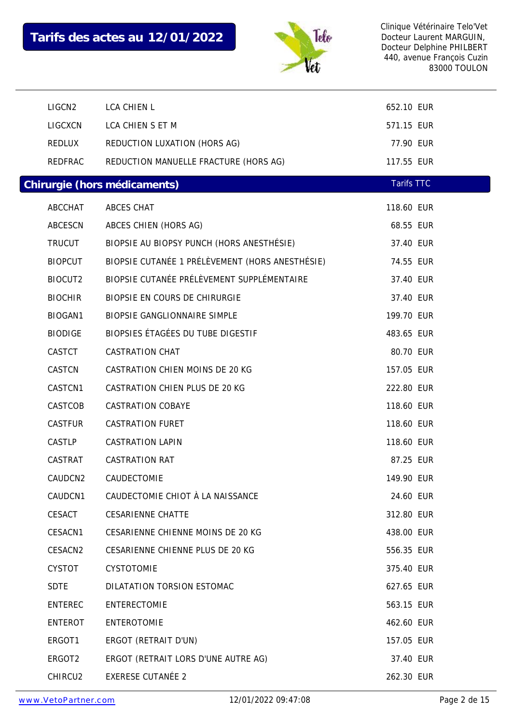

| LIGCN <sub>2</sub> | <b>LCA CHIEN L</b>                              | 652.10 EUR        |  |
|--------------------|-------------------------------------------------|-------------------|--|
| LIGCXCN            | LCA CHIEN S ET M                                | 571.15 EUR        |  |
| REDLUX             | REDUCTION LUXATION (HORS AG)                    | 77.90 EUR         |  |
| REDFRAC            | REDUCTION MANUELLE FRACTURE (HORS AG)           | 117.55 EUR        |  |
|                    | Chirurgie (hors médicaments)                    | <b>Tarifs TTC</b> |  |
| ABCCHAT            | ABCES CHAT                                      | 118.60 EUR        |  |
| ABCESCN            | ABCES CHIEN (HORS AG)                           | 68.55 EUR         |  |
| <b>TRUCUT</b>      | BIOPSIE AU BIOPSY PUNCH (HORS ANESTHÉSIE)       | 37.40 EUR         |  |
| <b>BIOPCUT</b>     | BIOPSIE CUTANÉE 1 PRÉLÈVEMENT (HORS ANESTHÉSIE) | 74.55 EUR         |  |
| BIOCUT2            | BIOPSIE CUTANÉE PRÉLÈVEMENT SUPPLÉMENTAIRE      | 37.40 EUR         |  |
| <b>BIOCHIR</b>     | BIOPSIE EN COURS DE CHIRURGIE                   | 37.40 EUR         |  |
| BIOGAN1            | BIOPSIE GANGLIONNAIRE SIMPLE                    | 199.70 EUR        |  |
| <b>BIODIGE</b>     | BIOPSIES ÉTAGÉES DU TUBE DIGESTIF               | 483.65 EUR        |  |
| CASTCT             | <b>CASTRATION CHAT</b>                          | 80.70 EUR         |  |
| CASTCN             | CASTRATION CHIEN MOINS DE 20 KG                 | 157.05 EUR        |  |
| CASTCN1            | CASTRATION CHIEN PLUS DE 20 KG                  | 222.80 EUR        |  |
| CASTCOB            | <b>CASTRATION COBAYE</b>                        | 118.60 EUR        |  |
| CASTFUR            | <b>CASTRATION FURET</b>                         | 118.60 EUR        |  |
| CASTLP             | <b>CASTRATION LAPIN</b>                         | 118.60 EUR        |  |
| CASTRAT            | <b>CASTRATION RAT</b>                           | 87.25 EUR         |  |
| CAUDCN2            | CAUDECTOMIE                                     | 149.90 EUR        |  |
| CAUDCN1            | CAUDECTOMIE CHIOT À LA NAISSANCE                | 24.60 EUR         |  |
| CESACT             | <b>CESARIENNE CHATTE</b>                        | 312.80 EUR        |  |
| CESACN1            | CESARIENNE CHIENNE MOINS DE 20 KG               | 438.00 EUR        |  |
| CESACN2            | CESARIENNE CHIENNE PLUS DE 20 KG                | 556.35 EUR        |  |
| <b>CYSTOT</b>      | <b>CYSTOTOMIE</b>                               | 375.40 EUR        |  |
| <b>SDTE</b>        | DILATATION TORSION ESTOMAC                      | 627.65 EUR        |  |
| <b>ENTEREC</b>     | ENTERECTOMIE                                    | 563.15 EUR        |  |
| ENTEROT            | ENTEROTOMIE                                     | 462.60 EUR        |  |
| ERGOT1             | ERGOT (RETRAIT D'UN)                            | 157.05 EUR        |  |
| ERGOT2             | ERGOT (RETRAIT LORS D'UNE AUTRE AG)             | 37.40 EUR         |  |
| CHIRCU2            | <b>EXERESE CUTANÉE 2</b>                        | 262.30 EUR        |  |
|                    |                                                 |                   |  |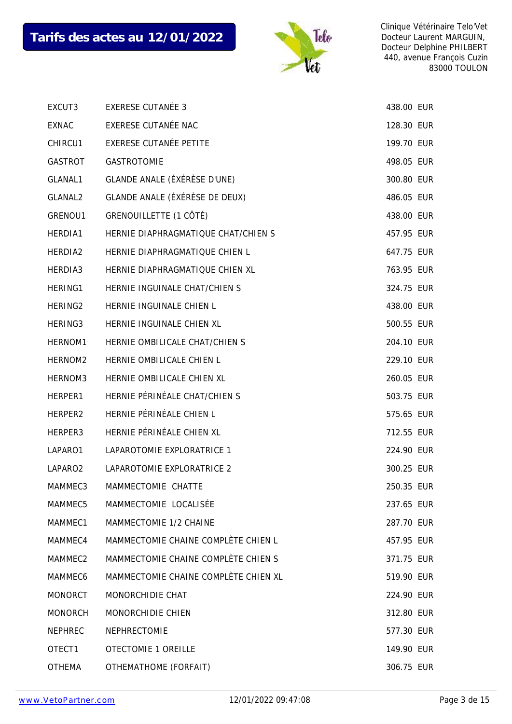

| EXCUT3              | <b>EXERESE CUTANÉE 3</b>             | 438.00 EUR |  |
|---------------------|--------------------------------------|------------|--|
| <b>EXNAC</b>        | EXERESE CUTANÉE NAC                  | 128.30 EUR |  |
| CHIRCU1             | <b>EXERESE CUTANÉE PETITE</b>        | 199.70 EUR |  |
| GASTROT             | <b>GASTROTOMIE</b>                   | 498.05 EUR |  |
| GLANAL1             | GLANDE ANALE (ÉXÉRÈSE D'UNE)         | 300.80 EUR |  |
| GLANAL2             | GLANDE ANALE (ÉXÉRÈSE DE DEUX)       | 486.05 EUR |  |
| GRENOU1             | GRENOUILLETTE (1 CÔTÉ)               | 438.00 EUR |  |
| HERDIA1             | HERNIE DIAPHRAGMATIQUE CHAT/CHIEN S  | 457.95 EUR |  |
| HERDIA2             | HERNIE DIAPHRAGMATIQUE CHIEN L       | 647.75 EUR |  |
| HERDIA3             | HERNIE DIAPHRAGMATIQUE CHIEN XL      | 763.95 EUR |  |
| HERING1             | HERNIE INGUINALE CHAT/CHIEN S        | 324.75 EUR |  |
| HERING <sub>2</sub> | HERNIE INGUINALE CHIEN L             | 438.00 EUR |  |
| HERING3             | HERNIE INGUINALE CHIEN XL            | 500.55 EUR |  |
| HERNOM <sub>1</sub> | HERNIE OMBILICALE CHAT/CHIEN S       | 204.10 EUR |  |
| HERNOM2             | HERNIE OMBILICALE CHIEN L            | 229.10 EUR |  |
| HERNOM3             | HERNIE OMBILICALE CHIEN XL           | 260.05 EUR |  |
| HERPER1             | HERNIE PÉRINÉALE CHAT/CHIEN S        | 503.75 EUR |  |
| HERPER2             | HERNIE PÉRINÉALE CHIEN L             | 575.65 EUR |  |
| HERPER3             | HERNIE PÉRINÉALE CHIEN XL            | 712.55 EUR |  |
| LAPARO1             | LAPAROTOMIE EXPLORATRICE 1           | 224.90 EUR |  |
| LAPARO <sub>2</sub> | LAPAROTOMIE EXPLORATRICE 2           | 300.25 EUR |  |
| MAMMEC3             | MAMMECTOMIE CHATTE                   | 250.35 EUR |  |
| MAMMEC5             | MAMMECTOMIE LOCALISÉE                | 237.65 EUR |  |
| MAMMEC1             | MAMMECTOMIE 1/2 CHAINE               | 287.70 EUR |  |
| MAMMEC4             | MAMMECTOMIE CHAINE COMPLÈTE CHIEN L  | 457.95 EUR |  |
| MAMMEC2             | MAMMECTOMIE CHAINE COMPLÈTE CHIEN S  | 371.75 EUR |  |
| MAMMEC <sub>6</sub> | MAMMECTOMIE CHAINE COMPLÈTE CHIEN XL | 519.90 EUR |  |
| <b>MONORCT</b>      | MONORCHIDIE CHAT                     | 224.90 EUR |  |
| <b>MONORCH</b>      | <b>MONORCHIDIE CHIEN</b>             | 312.80 EUR |  |
| <b>NEPHREC</b>      | <b>NEPHRECTOMIE</b>                  | 577.30 EUR |  |
| OTECT1              | OTECTOMIE 1 OREILLE                  | 149.90 EUR |  |
| <b>OTHEMA</b>       | OTHEMATHOME (FORFAIT)                | 306.75 EUR |  |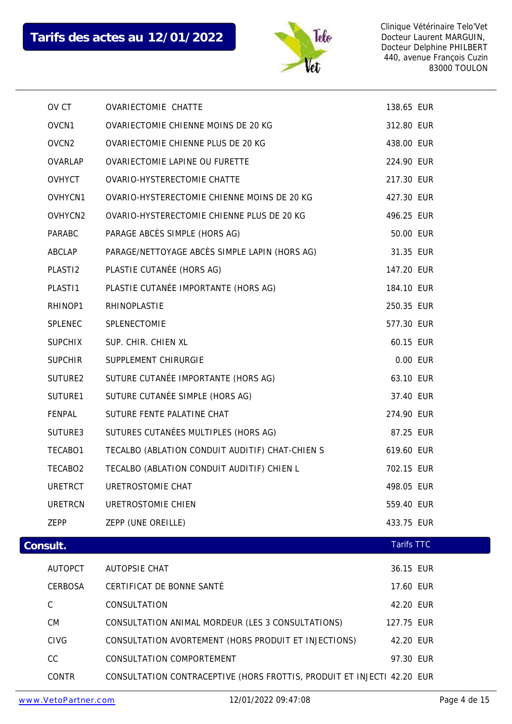

|          | OV CT               | OVARIECTOMIE CHATTE                                                    | 138.65 EUR        |          |
|----------|---------------------|------------------------------------------------------------------------|-------------------|----------|
|          | OVCN1               | <b>OVARIECTOMIE CHIENNE MOINS DE 20 KG</b>                             | 312.80 EUR        |          |
|          | OVCN <sub>2</sub>   | OVARIECTOMIE CHIENNE PLUS DE 20 KG                                     | 438.00 EUR        |          |
|          | OVARLAP             | OVARIECTOMIE LAPINE OU FURETTE                                         | 224.90 EUR        |          |
|          | OVHYCT              | OVARIO-HYSTERECTOMIE CHATTE                                            | 217.30 EUR        |          |
|          | OVHYCN1             | OVARIO-HYSTERECTOMIE CHIENNE MOINS DE 20 KG                            | 427.30 EUR        |          |
|          | OVHYCN2             | OVARIO-HYSTERECTOMIE CHIENNE PLUS DE 20 KG                             | 496.25 EUR        |          |
|          | PARABC              | PARAGE ABCÈS SIMPLE (HORS AG)                                          | 50.00 EUR         |          |
|          | ABCLAP              | PARAGE/NETTOYAGE ABCÈS SIMPLE LAPIN (HORS AG)                          | 31.35 EUR         |          |
|          | PLAST <sub>12</sub> | PLASTIE CUTANÉE (HORS AG)                                              | 147.20 EUR        |          |
|          | PLAST11             | PLASTIE CUTANÉE IMPORTANTE (HORS AG)                                   | 184.10 EUR        |          |
|          | RHINOP1             | RHINOPLASTIE                                                           | 250.35 EUR        |          |
|          | SPLENEC             | SPLENECTOMIE                                                           | 577.30 EUR        |          |
|          | <b>SUPCHIX</b>      | SUP. CHIR. CHIEN XL                                                    | 60.15 EUR         |          |
|          | <b>SUPCHIR</b>      | SUPPLEMENT CHIRURGIE                                                   |                   | 0.00 EUR |
|          | SUTURE2             | SUTURE CUTANÉE IMPORTANTE (HORS AG)                                    | 63.10 EUR         |          |
|          | SUTURE1             | SUTURE CUTANÉE SIMPLE (HORS AG)                                        | 37.40 EUR         |          |
|          | FENPAL              | SUTURE FENTE PALATINE CHAT                                             | 274.90 EUR        |          |
|          | SUTURE3             | SUTURES CUTANÉES MULTIPLES (HORS AG)                                   | 87.25 EUR         |          |
|          | TECABO1             | TECALBO (ABLATION CONDUIT AUDITIF) CHAT-CHIEN S                        | 619.60 EUR        |          |
|          | TECABO2             | TECALBO (ABLATION CONDUIT AUDITIF) CHIEN L                             | 702.15 EUR        |          |
|          | URETRCT             | URETROSTOMIE CHAT                                                      | 498.05 EUR        |          |
|          | <b>URETRCN</b>      | URETROSTOMIE CHIEN                                                     | 559.40 EUR        |          |
|          | ZEPP                | ZEPP (UNE OREILLE)                                                     | 433.75 EUR        |          |
| Consult. |                     |                                                                        | <b>Tarifs TTC</b> |          |
|          | <b>AUTOPCT</b>      | <b>AUTOPSIE CHAT</b>                                                   | 36.15 EUR         |          |
|          | CERBOSA             | CERTIFICAT DE BONNE SANTÉ                                              | 17.60 EUR         |          |
|          | $\mathsf C$         | CONSULTATION                                                           | 42.20 EUR         |          |
|          | <b>CM</b>           | CONSULTATION ANIMAL MORDEUR (LES 3 CONSULTATIONS)                      | 127.75 EUR        |          |
|          | <b>CIVG</b>         | CONSULTATION AVORTEMENT (HORS PRODUIT ET INJECTIONS)                   | 42.20 EUR         |          |
|          | CC                  | CONSULTATION COMPORTEMENT                                              |                   |          |
|          |                     |                                                                        | 97.30 EUR         |          |
|          | CONTR               | CONSULTATION CONTRACEPTIVE (HORS FROTTIS, PRODUIT ET INJECTI 42.20 EUR |                   |          |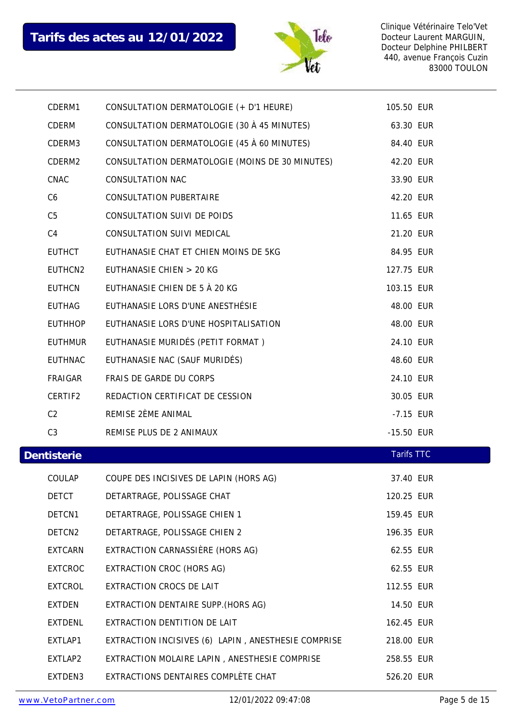

| CDERM1         | CONSULTATION DERMATOLOGIE (+ D'1 HEURE)             | 105.50 EUR        |  |
|----------------|-----------------------------------------------------|-------------------|--|
| CDERM          | CONSULTATION DERMATOLOGIE (30 À 45 MINUTES)         | 63.30 EUR         |  |
| CDERM3         | CONSULTATION DERMATOLOGIE (45 À 60 MINUTES)         | 84.40 EUR         |  |
| CDERM2         | CONSULTATION DERMATOLOGIE (MOINS DE 30 MINUTES)     | 42.20 EUR         |  |
| CNAC           | <b>CONSULTATION NAC</b>                             | 33.90 EUR         |  |
| C <sub>6</sub> | <b>CONSULTATION PUBERTAIRE</b>                      | 42.20 EUR         |  |
| C <sub>5</sub> | CONSULTATION SUIVI DE POIDS                         | 11.65 EUR         |  |
| C <sub>4</sub> | CONSULTATION SUIVI MEDICAL                          | 21.20 EUR         |  |
| <b>EUTHCT</b>  | EUTHANASIE CHAT ET CHIEN MOINS DE 5KG               | 84.95 EUR         |  |
| EUTHCN2        | EUTHANASIE CHIEN > 20 KG                            | 127.75 EUR        |  |
| <b>EUTHCN</b>  | EUTHANASIE CHIEN DE 5 À 20 KG                       | 103.15 EUR        |  |
| EUTHAG         | EUTHANASIE LORS D'UNE ANESTHÉSIE                    | 48.00 EUR         |  |
| <b>EUTHHOP</b> | EUTHANASIE LORS D'UNE HOSPITALISATION               | 48.00 EUR         |  |
| <b>EUTHMUR</b> | EUTHANASIE MURIDÉS (PETIT FORMAT)                   | 24.10 EUR         |  |
| <b>EUTHNAC</b> | EUTHANASIE NAC (SAUF MURIDÉS)                       | 48.60 EUR         |  |
| FRAIGAR        | FRAIS DE GARDE DU CORPS                             | 24.10 EUR         |  |
| CERTIF2        | REDACTION CERTIFICAT DE CESSION                     | 30.05 EUR         |  |
| C <sub>2</sub> | REMISE 2ÈME ANIMAL                                  | -7.15 EUR         |  |
| C <sub>3</sub> | REMISE PLUS DE 2 ANIMAUX                            |                   |  |
|                |                                                     | -15.50 EUR        |  |
| Dentisterie    |                                                     | <b>Tarifs TTC</b> |  |
| COULAP         | COUPE DES INCISIVES DE LAPIN (HORS AG)              | 37.40 EUR         |  |
| DETCT          | DETARTRAGE, POLISSAGE CHAT                          | 120.25 EUR        |  |
| DETCN1         | DETARTRAGE, POLISSAGE CHIEN 1                       | 159.45 EUR        |  |
| DETCN2         | DETARTRAGE, POLISSAGE CHIEN 2                       | 196.35 EUR        |  |
| <b>EXTCARN</b> | EXTRACTION CARNASSIÈRE (HORS AG)                    | 62.55 EUR         |  |
| <b>EXTCROC</b> | EXTRACTION CROC (HORS AG)                           | 62.55 EUR         |  |
| <b>EXTCROL</b> | EXTRACTION CROCS DE LAIT                            | 112.55 EUR        |  |
| <b>EXTDEN</b>  | EXTRACTION DENTAIRE SUPP. (HORS AG)                 | 14.50 EUR         |  |
| <b>EXTDENL</b> | EXTRACTION DENTITION DE LAIT                        | 162.45 EUR        |  |
| EXTLAP1        | EXTRACTION INCISIVES (6) LAPIN, ANESTHESIE COMPRISE | 218.00 EUR        |  |
| EXTLAP2        | EXTRACTION MOLAIRE LAPIN, ANESTHESIE COMPRISE       | 258.55 EUR        |  |
| EXTDEN3        | EXTRACTIONS DENTAIRES COMPLÈTE CHAT                 | 526.20 EUR        |  |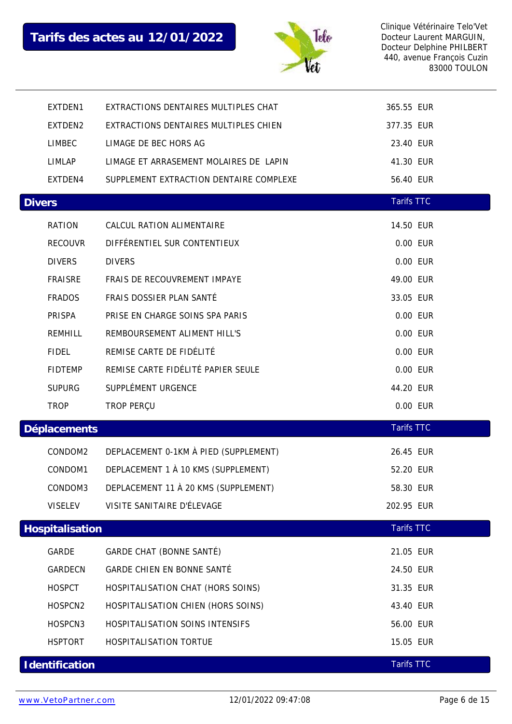

|               | EXTDEN1         | EXTRACTIONS DENTAIRES MULTIPLES CHAT    | 365.55 EUR        |          |
|---------------|-----------------|-----------------------------------------|-------------------|----------|
|               | EXTDEN2         | EXTRACTIONS DENTAIRES MULTIPLES CHIEN   | 377.35 EUR        |          |
|               | <b>LIMBEC</b>   | LIMAGE DE BEC HORS AG                   | 23.40 EUR         |          |
|               | <b>LIMLAP</b>   | LIMAGE ET ARRASEMENT MOLAIRES DE LAPIN  | 41.30 EUR         |          |
|               | EXTDEN4         | SUPPLEMENT EXTRACTION DENTAIRE COMPLEXE | 56.40 EUR         |          |
| <b>Divers</b> |                 |                                         | <b>Tarifs TTC</b> |          |
|               | RATION          | CALCUL RATION ALIMENTAIRE               | 14.50 EUR         |          |
|               | <b>RECOUVR</b>  | DIFFÉRENTIEL SUR CONTENTIEUX            | 0.00 EUR          |          |
|               | <b>DIVERS</b>   | <b>DIVERS</b>                           |                   | 0.00 EUR |
|               | <b>FRAISRE</b>  | FRAIS DE RECOUVREMENT IMPAYE            | 49.00 EUR         |          |
|               | <b>FRADOS</b>   | FRAIS DOSSIER PLAN SANTÉ                | 33.05 EUR         |          |
|               | PRISPA          | PRISE EN CHARGE SOINS SPA PARIS         | 0.00 EUR          |          |
|               | REMHILL         | REMBOURSEMENT ALIMENT HILL'S            |                   | 0.00 EUR |
|               | <b>FIDEL</b>    | REMISE CARTE DE FIDÉLITÉ                |                   | 0.00 EUR |
|               | <b>FIDTEMP</b>  | REMISE CARTE FIDÉLITÉ PAPIER SEULE      |                   | 0.00 EUR |
|               | <b>SUPURG</b>   | SUPPLÉMENT URGENCE                      | 44.20 EUR         |          |
|               | <b>TROP</b>     | TROP PERÇU                              |                   | 0.00 EUR |
|               | Déplacements    |                                         | <b>Tarifs TTC</b> |          |
|               | CONDOM2         | DEPLACEMENT 0-1KM À PIED (SUPPLEMENT)   | 26.45 EUR         |          |
|               | CONDOM1         | DEPLACEMENT 1 À 10 KMS (SUPPLEMENT)     | 52.20 EUR         |          |
|               | CONDOM3         | DEPLACEMENT 11 À 20 KMS (SUPPLEMENT)    | 58.30 EUR         |          |
|               | <b>VISELEV</b>  | VISITE SANITAIRE D'ÉLEVAGE              | 202.95 EUR        |          |
|               | Hospitalisation |                                         | <b>Tarifs TTC</b> |          |
|               | GARDE           | GARDE CHAT (BONNE SANTÉ)                | 21.05 EUR         |          |
|               | GARDECN         | GARDE CHIEN EN BONNE SANTÉ              | 24.50 EUR         |          |
|               | <b>HOSPCT</b>   | HOSPITALISATION CHAT (HORS SOINS)       | 31.35 EUR         |          |
|               | HOSPCN2         | HOSPITALISATION CHIEN (HORS SOINS)      | 43.40 EUR         |          |
|               | HOSPCN3         | HOSPITALISATION SOINS INTENSIFS         | 56.00 EUR         |          |
|               | <b>HSPTORT</b>  | HOSPITALISATION TORTUE                  | 15.05 EUR         |          |
|               | Identification  |                                         | <b>Tarifs TTC</b> |          |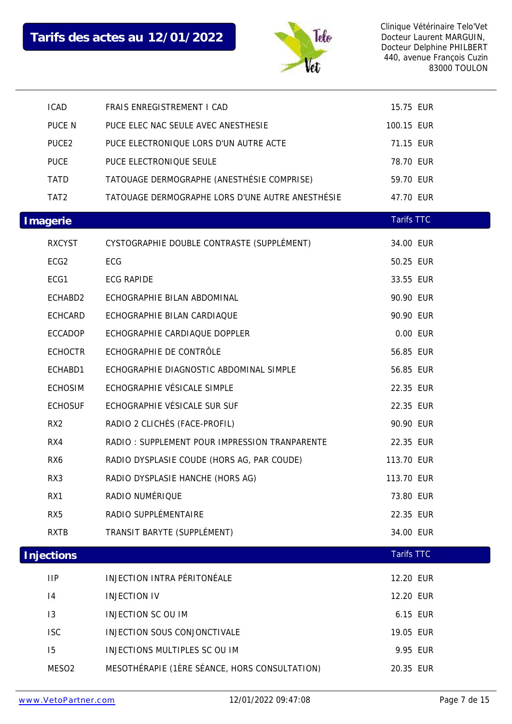

| <b>ICAD</b>       | FRAIS ENREGISTREMENT I CAD                       | 15.75 EUR         |  |
|-------------------|--------------------------------------------------|-------------------|--|
| PUCE N            | PUCE ELEC NAC SEULE AVEC ANESTHESIE              | 100.15 EUR        |  |
| PUCE2             | PUCE ELECTRONIQUE LORS D'UN AUTRE ACTE           | 71.15 EUR         |  |
| <b>PUCE</b>       | PUCE ELECTRONIQUE SEULE                          | 78.70 EUR         |  |
| <b>TATD</b>       | TATOUAGE DERMOGRAPHE (ANESTHÉSIE COMPRISE)       | 59.70 EUR         |  |
| TAT <sub>2</sub>  | TATOUAGE DERMOGRAPHE LORS D'UNE AUTRE ANESTHÉSIE | 47.70 EUR         |  |
| Imagerie          |                                                  | <b>Tarifs TTC</b> |  |
| <b>RXCYST</b>     | CYSTOGRAPHIE DOUBLE CONTRASTE (SUPPLÉMENT)       | 34.00 EUR         |  |
| ECG <sub>2</sub>  | ECG                                              | 50.25 EUR         |  |
| ECG1              | <b>ECG RAPIDE</b>                                | 33.55 EUR         |  |
| ECHABD2           | ECHOGRAPHIE BILAN ABDOMINAL                      | 90.90 EUR         |  |
| ECHCARD           | ECHOGRAPHIE BILAN CARDIAQUE                      | 90.90 EUR         |  |
| ECCADOP           | ECHOGRAPHIE CARDIAQUE DOPPLER                    | 0.00 EUR          |  |
| <b>ECHOCTR</b>    | ECHOGRAPHIE DE CONTRÔLE                          | 56.85 EUR         |  |
| ECHABD1           | ECHOGRAPHIE DIAGNOSTIC ABDOMINAL SIMPLE          | 56.85 EUR         |  |
| <b>ECHOSIM</b>    | ECHOGRAPHIE VÉSICALE SIMPLE                      | 22.35 EUR         |  |
| <b>ECHOSUF</b>    | ECHOGRAPHIE VÉSICALE SUR SUF                     | 22.35 EUR         |  |
| RX <sub>2</sub>   | RADIO 2 CLICHÉS (FACE-PROFIL)                    | 90.90 EUR         |  |
| RX4               | RADIO: SUPPLEMENT POUR IMPRESSION TRANPARENTE    | 22.35 EUR         |  |
| RX6               | RADIO DYSPLASIE COUDE (HORS AG, PAR COUDE)       | 113.70 EUR        |  |
| RX3               | RADIO DYSPLASIE HANCHE (HORS AG)                 | 113.70 EUR        |  |
| RX1               | RADIO NUMÉRIQUE                                  | 73.80 EUR         |  |
| RX <sub>5</sub>   | RADIO SUPPLÉMENTAIRE                             | 22.35 EUR         |  |
| <b>RXTB</b>       | TRANSIT BARYTE (SUPPLÉMENT)                      | 34.00 EUR         |  |
| Injections        |                                                  | <b>Tarifs TTC</b> |  |
| <b>IIP</b>        | INJECTION INTRA PÉRITONÉALE                      | 12.20 EUR         |  |
| 4                 | <b>INJECTION IV</b>                              | 12.20 EUR         |  |
| 13                | <b>INJECTION SC OU IM</b>                        | 6.15 EUR          |  |
| <b>ISC</b>        | INJECTION SOUS CONJONCTIVALE                     | 19.05 EUR         |  |
| 15                | INJECTIONS MULTIPLES SC OU IM                    | 9.95 EUR          |  |
| MESO <sub>2</sub> | MESOTHÉRAPIE (1ÈRE SÉANCE, HORS CONSULTATION)    | 20.35 EUR         |  |
|                   |                                                  |                   |  |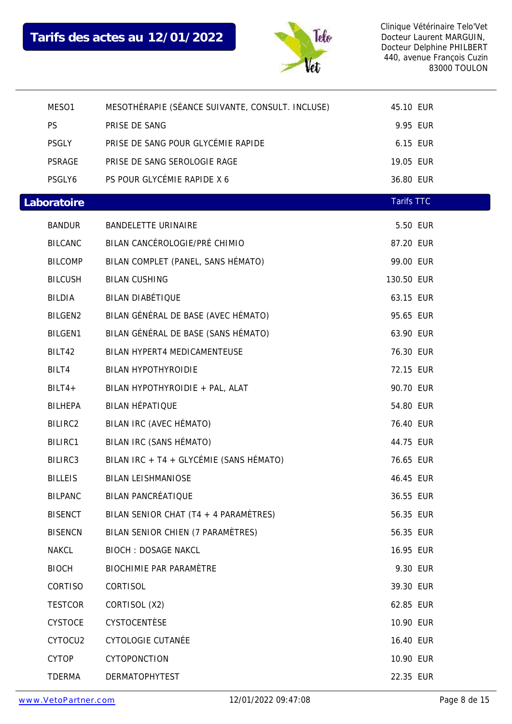

| MESO1          | MESOTHÉRAPIE (SÉANCE SUIVANTE, CONSULT. INCLUSE) | 45.10 EUR         |  |
|----------------|--------------------------------------------------|-------------------|--|
| <b>PS</b>      | PRISE DE SANG                                    | 9.95 EUR          |  |
| PSGLY          | PRISE DE SANG POUR GLYCÉMIE RAPIDE               | 6.15 EUR          |  |
| PSRAGE         | PRISE DE SANG SEROLOGIE RAGE                     | 19.05 EUR         |  |
| PSGLY6         | PS POUR GLYCÉMIE RAPIDE X 6                      | 36.80 EUR         |  |
| Laboratoire    |                                                  | <b>Tarifs TTC</b> |  |
| <b>BANDUR</b>  | <b>BANDELETTE URINAIRE</b>                       | 5.50 EUR          |  |
| <b>BILCANC</b> | BILAN CANCÉROLOGIE/PRÉ CHIMIO                    | 87.20 EUR         |  |
| <b>BILCOMP</b> | BILAN COMPLET (PANEL, SANS HÉMATO)               | 99.00 EUR         |  |
| <b>BILCUSH</b> | <b>BILAN CUSHING</b>                             | 130.50 EUR        |  |
| BILDIA         | <b>BILAN DIABÉTIQUE</b>                          | 63.15 EUR         |  |
| BILGEN2        | BILAN GÉNÉRAL DE BASE (AVEC HÉMATO)              | 95.65 EUR         |  |
| <b>BILGEN1</b> | BILAN GÉNÉRAL DE BASE (SANS HÉMATO)              | 63.90 EUR         |  |
| BILT42         | BILAN HYPERT4 MEDICAMENTEUSE                     | 76.30 EUR         |  |
| BILT4          | <b>BILAN HYPOTHYROIDIE</b>                       | 72.15 EUR         |  |
| $BILT4+$       | BILAN HYPOTHYROIDIE + PAL, ALAT                  | 90.70 EUR         |  |
| <b>BILHEPA</b> | <b>BILAN HÉPATIQUE</b>                           | 54.80 EUR         |  |
| BILIRC2        | BILAN IRC (AVEC HÉMATO)                          | 76.40 EUR         |  |
| BILIRC1        | BILAN IRC (SANS HÉMATO)                          | 44.75 EUR         |  |
| BILIRC3        | BILAN IRC + T4 + GLYCÉMIE (SANS HÉMATO)          | 76.65 EUR         |  |
| <b>BILLEIS</b> | <b>BILAN LEISHMANIOSE</b>                        | 46.45 EUR         |  |
| <b>BILPANC</b> | <b>BILAN PANCRÉATIQUE</b>                        | 36.55 EUR         |  |
| <b>BISENCT</b> | BILAN SENIOR CHAT (T4 + 4 PARAMÈTRES)            | 56.35 EUR         |  |
| <b>BISENCN</b> | BILAN SENIOR CHIEN (7 PARAMÈTRES)                | 56.35 EUR         |  |
| <b>NAKCL</b>   | <b>BIOCH: DOSAGE NAKCL</b>                       | 16.95 EUR         |  |
| <b>BIOCH</b>   | <b>BIOCHIMIE PAR PARAMÈTRE</b>                   | 9.30 EUR          |  |
| CORTISO        | CORTISOL                                         | 39.30 EUR         |  |
| <b>TESTCOR</b> | CORTISOL (X2)                                    | 62.85 EUR         |  |
| <b>CYSTOCE</b> | CYSTOCENTÈSE                                     | 10.90 EUR         |  |
| CYTOCU2        | <b>CYTOLOGIE CUTANÉE</b>                         | 16.40 EUR         |  |
| <b>CYTOP</b>   | CYTOPONCTION                                     | 10.90 EUR         |  |
| <b>TDERMA</b>  | <b>DERMATOPHYTEST</b>                            | 22.35 EUR         |  |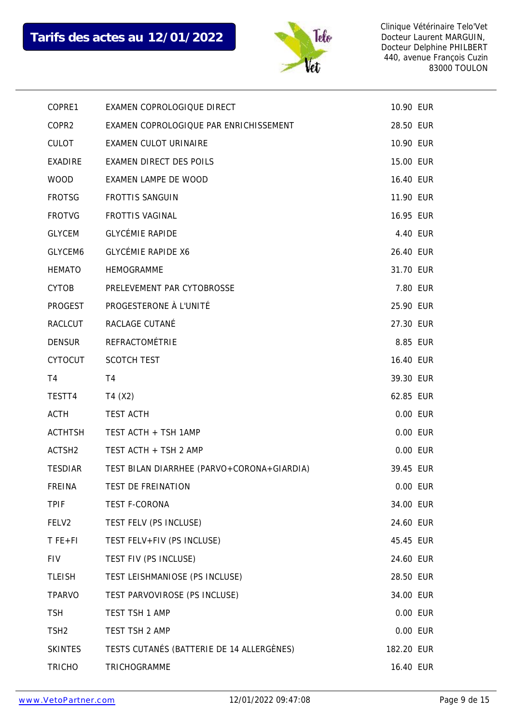

| COPRE1             | EXAMEN COPROLOGIQUE DIRECT                 | 10.90 EUR  |  |
|--------------------|--------------------------------------------|------------|--|
| COPR2              | EXAMEN COPROLOGIQUE PAR ENRICHISSEMENT     | 28.50 EUR  |  |
| <b>CULOT</b>       | <b>EXAMEN CULOT URINAIRE</b>               | 10.90 EUR  |  |
| EXADIRE            | <b>EXAMEN DIRECT DES POILS</b>             | 15.00 EUR  |  |
| <b>WOOD</b>        | EXAMEN LAMPE DE WOOD                       | 16.40 EUR  |  |
| <b>FROTSG</b>      | <b>FROTTIS SANGUIN</b>                     | 11.90 EUR  |  |
| <b>FROTVG</b>      | <b>FROTTIS VAGINAL</b>                     | 16.95 EUR  |  |
| <b>GLYCEM</b>      | <b>GLYCÉMIE RAPIDE</b>                     | 4.40 EUR   |  |
| GLYCEM6            | <b>GLYCÉMIE RAPIDE X6</b>                  | 26.40 EUR  |  |
| <b>HEMATO</b>      | <b>HEMOGRAMME</b>                          | 31.70 EUR  |  |
| <b>CYTOB</b>       | PRELEVEMENT PAR CYTOBROSSE                 | 7.80 EUR   |  |
| PROGEST            | PROGESTERONE À L'UNITÉ                     | 25.90 EUR  |  |
| RACLCUT            | RACLAGE CUTANÉ                             | 27.30 EUR  |  |
| <b>DENSUR</b>      | REFRACTOMÉTRIE                             | 8.85 EUR   |  |
| <b>CYTOCUT</b>     | <b>SCOTCH TEST</b>                         | 16.40 EUR  |  |
| T4                 | T4                                         | 39.30 EUR  |  |
|                    |                                            |            |  |
| TESTT4             | T4 (X2)                                    | 62.85 EUR  |  |
| ACTH               | <b>TEST ACTH</b>                           | 0.00 EUR   |  |
| <b>ACTHTSH</b>     | TEST ACTH + TSH 1AMP                       | 0.00 EUR   |  |
| ACTSH <sub>2</sub> | TEST ACTH + TSH 2 AMP                      | 0.00 EUR   |  |
| <b>TESDIAR</b>     | TEST BILAN DIARRHEE (PARVO+CORONA+GIARDIA) | 39.45 EUR  |  |
| FREINA             | TEST DE FREINATION                         | 0.00 EUR   |  |
| <b>TPIF</b>        | <b>TEST F-CORONA</b>                       | 34.00 EUR  |  |
| FELV2              | TEST FELV (PS INCLUSE)                     | 24.60 EUR  |  |
| $T$ FE+FI          | TEST FELV+FIV (PS INCLUSE)                 | 45.45 EUR  |  |
| <b>FIV</b>         | TEST FIV (PS INCLUSE)                      | 24.60 EUR  |  |
| <b>TLEISH</b>      | TEST LEISHMANIOSE (PS INCLUSE)             | 28.50 EUR  |  |
| <b>TPARVO</b>      | TEST PARVOVIROSE (PS INCLUSE)              | 34.00 EUR  |  |
| <b>TSH</b>         | TEST TSH 1 AMP                             | 0.00 EUR   |  |
| TSH <sub>2</sub>   | TEST TSH 2 AMP                             | 0.00 EUR   |  |
| <b>SKINTES</b>     | TESTS CUTANÉS (BATTERIE DE 14 ALLERGÈNES)  | 182.20 EUR |  |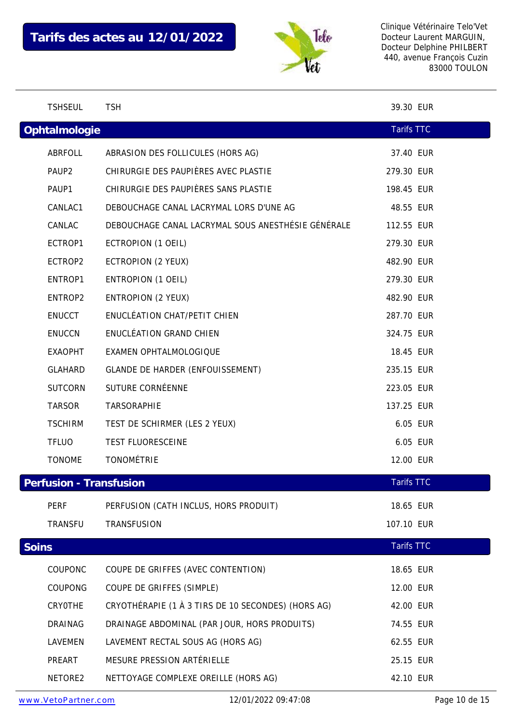

|       | <b>TSHSEUL</b>          | <b>TSH</b>                                         | 39.30 EUR         |  |
|-------|-------------------------|----------------------------------------------------|-------------------|--|
|       | Ophtalmologie           |                                                    | <b>Tarifs TTC</b> |  |
|       | ABRFOLL                 | ABRASION DES FOLLICULES (HORS AG)                  | 37.40 EUR         |  |
|       | PAUP <sub>2</sub>       | CHIRURGIE DES PAUPIÈRES AVEC PLASTIE               | 279.30 EUR        |  |
|       | PAUP1                   | CHIRURGIE DES PAUPIÈRES SANS PLASTIE               | 198.45 EUR        |  |
|       | CANLAC1                 | DEBOUCHAGE CANAL LACRYMAL LORS D'UNE AG            | 48.55 EUR         |  |
|       | CANLAC                  | DEBOUCHAGE CANAL LACRYMAL SOUS ANESTHÉSIE GÉNÉRALE | 112.55 EUR        |  |
|       | ECTROP1                 | ECTROPION (1 OEIL)                                 | 279.30 EUR        |  |
|       | ECTROP2                 | ECTROPION (2 YEUX)                                 | 482.90 EUR        |  |
|       | ENTROP1                 | ENTROPION (1 OEIL)                                 | 279.30 EUR        |  |
|       | ENTROP2                 | <b>ENTROPION (2 YEUX)</b>                          | 482.90 EUR        |  |
|       | <b>ENUCCT</b>           | ENUCLÉATION CHAT/PETIT CHIEN                       | 287.70 EUR        |  |
|       | <b>ENUCCN</b>           | ENUCLÉATION GRAND CHIEN                            | 324.75 EUR        |  |
|       | <b>EXAOPHT</b>          | EXAMEN OPHTALMOLOGIQUE                             | 18.45 EUR         |  |
|       | GLAHARD                 | <b>GLANDE DE HARDER (ENFOUISSEMENT)</b>            | 235.15 EUR        |  |
|       | <b>SUTCORN</b>          | SUTURE CORNÉENNE                                   | 223.05 EUR        |  |
|       | <b>TARSOR</b>           | TARSORAPHIE                                        | 137.25 EUR        |  |
|       | <b>TSCHIRM</b>          | TEST DE SCHIRMER (LES 2 YEUX)                      | 6.05 EUR          |  |
|       | <b>TFLUO</b>            | TEST FLUORESCEINE                                  | 6.05 EUR          |  |
|       | <b>TONOME</b>           | <b>TONOMÉTRIE</b>                                  | 12.00 EUR         |  |
|       | Perfusion - Transfusion |                                                    | <b>Tarifs TTC</b> |  |
|       | PERF                    | PERFUSION (CATH INCLUS, HORS PRODUIT)              | 18.65 EUR         |  |
|       | <b>TRANSFU</b>          | TRANSFUSION                                        | 107.10 EUR        |  |
| Soins |                         |                                                    | <b>Tarifs TTC</b> |  |
|       | COUPONC                 | COUPE DE GRIFFES (AVEC CONTENTION)                 | 18.65 EUR         |  |
|       | COUPONG                 | COUPE DE GRIFFES (SIMPLE)                          | 12.00 EUR         |  |
|       | CRYOTHE                 | CRYOTHÉRAPIE (1 À 3 TIRS DE 10 SECONDES) (HORS AG) | 42.00 EUR         |  |
|       | <b>DRAINAG</b>          | DRAINAGE ABDOMINAL (PAR JOUR, HORS PRODUITS)       | 74.55 EUR         |  |
|       | LAVEMEN                 | LAVEMENT RECTAL SOUS AG (HORS AG)                  | 62.55 EUR         |  |
|       | PREART                  | MESURE PRESSION ARTÉRIELLE                         | 25.15 EUR         |  |
|       | NETORE2                 | NETTOYAGE COMPLEXE OREILLE (HORS AG)               | 42.10 EUR         |  |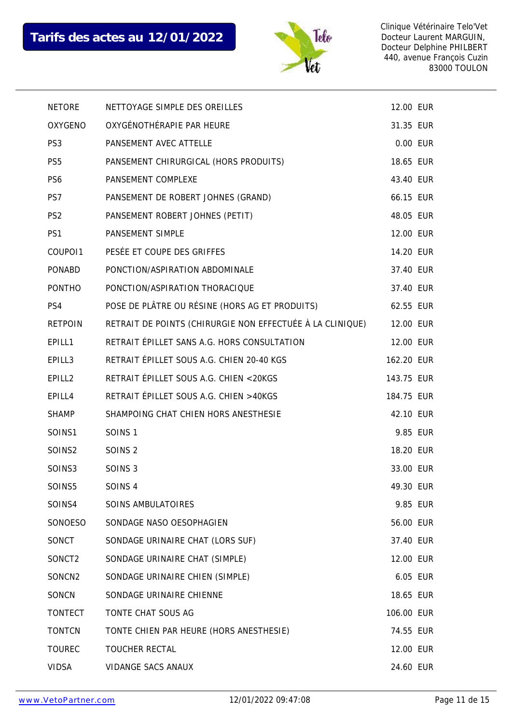

| <b>NETORE</b>      | NETTOYAGE SIMPLE DES OREILLES                             | 12.00 EUR  |  |
|--------------------|-----------------------------------------------------------|------------|--|
| OXYGENO            | OXYGÉNOTHÉRAPIE PAR HEURE                                 | 31.35 EUR  |  |
| PS <sub>3</sub>    | PANSEMENT AVEC ATTELLE                                    | 0.00 EUR   |  |
| PS <sub>5</sub>    | PANSEMENT CHIRURGICAL (HORS PRODUITS)                     | 18.65 EUR  |  |
| PS <sub>6</sub>    | PANSEMENT COMPLEXE                                        | 43.40 EUR  |  |
| PS7                | PANSEMENT DE ROBERT JOHNES (GRAND)                        | 66.15 EUR  |  |
| PS <sub>2</sub>    | PANSEMENT ROBERT JOHNES (PETIT)                           | 48.05 EUR  |  |
| PS1                | PANSEMENT SIMPLE                                          | 12.00 EUR  |  |
| COUPO11            | PESÉE ET COUPE DES GRIFFES                                | 14.20 EUR  |  |
| <b>PONABD</b>      | PONCTION/ASPIRATION ABDOMINALE                            | 37.40 EUR  |  |
| <b>PONTHO</b>      | PONCTION/ASPIRATION THORACIQUE                            | 37.40 EUR  |  |
| PS4                | POSE DE PLÂTRE OU RÉSINE (HORS AG ET PRODUITS)            | 62.55 EUR  |  |
| <b>RETPOIN</b>     | RETRAIT DE POINTS (CHIRURGIE NON EFFECTUÉE À LA CLINIQUE) | 12.00 EUR  |  |
| EPILL1             | RETRAIT ÉPILLET SANS A.G. HORS CONSULTATION               | 12.00 EUR  |  |
| EPILL3             | RETRAIT ÉPILLET SOUS A.G. CHIEN 20-40 KGS                 | 162.20 EUR |  |
| EPILL <sub>2</sub> | RETRAIT ÉPILLET SOUS A.G. CHIEN <20KGS                    | 143.75 EUR |  |
| EPILL4             | RETRAIT ÉPILLET SOUS A.G. CHIEN >40KGS                    | 184.75 EUR |  |
| <b>SHAMP</b>       | SHAMPOING CHAT CHIEN HORS ANESTHESIE                      | 42.10 EUR  |  |
| SOINS1             | SOINS <sub>1</sub>                                        | 9.85 EUR   |  |
| SOINS2             | SOINS <sub>2</sub>                                        | 18.20 EUR  |  |
| SOINS3             | SOINS <sub>3</sub>                                        | 33.00 EUR  |  |
| SOINS5             | SOINS <sub>4</sub>                                        | 49.30 EUR  |  |
| SOINS4             | SOINS AMBULATOIRES                                        | 9.85 EUR   |  |
| SONOESO            | SONDAGE NASO OESOPHAGIEN                                  | 56.00 EUR  |  |
| SONCT              | SONDAGE URINAIRE CHAT (LORS SUF)                          | 37.40 EUR  |  |
| SONCT2             | SONDAGE URINAIRE CHAT (SIMPLE)                            | 12.00 EUR  |  |
| SONCN2             | SONDAGE URINAIRE CHIEN (SIMPLE)                           | 6.05 EUR   |  |
| SONCN              | SONDAGE URINAIRE CHIENNE                                  | 18.65 EUR  |  |
| <b>TONTECT</b>     | TONTE CHAT SOUS AG                                        | 106.00 EUR |  |
| <b>TONTCN</b>      | TONTE CHIEN PAR HEURE (HORS ANESTHESIE)                   | 74.55 EUR  |  |
| <b>TOUREC</b>      | TOUCHER RECTAL                                            | 12.00 EUR  |  |
| <b>VIDSA</b>       | VIDANGE SACS ANAUX                                        | 24.60 EUR  |  |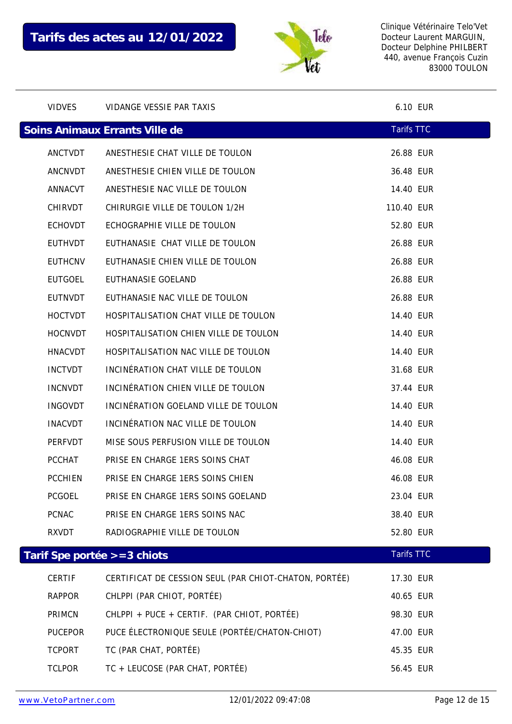

| <b>VIDVES</b>  |         | VIDANGE VESSIE PAR TAXIS                              | 6.10 EUR          |  |
|----------------|---------|-------------------------------------------------------|-------------------|--|
|                |         | Soins Animaux Errants Ville de                        | <b>Tarifs TTC</b> |  |
|                | ANCTVDT | ANESTHESIE CHAT VILLE DE TOULON                       | 26.88 EUR         |  |
|                | ANCNVDT | ANESTHESIE CHIEN VILLE DE TOULON                      | 36.48 EUR         |  |
| ANNACVT        |         | ANESTHESIE NAC VILLE DE TOULON                        | 14.40 EUR         |  |
| CHIRVDT        |         | CHIRURGIE VILLE DE TOULON 1/2H                        | 110.40 EUR        |  |
| <b>ECHOVDT</b> |         | ECHOGRAPHIE VILLE DE TOULON                           | 52.80 EUR         |  |
| <b>EUTHVDT</b> |         | EUTHANASIE CHAT VILLE DE TOULON                       | 26.88 EUR         |  |
| <b>EUTHCNV</b> |         | EUTHANASIE CHIEN VILLE DE TOULON                      | 26.88 EUR         |  |
| <b>EUTGOEL</b> |         | EUTHANASIE GOELAND                                    | 26.88 EUR         |  |
| EUTNVDT        |         | EUTHANASIE NAC VILLE DE TOULON                        | 26.88 EUR         |  |
| <b>HOCTVDT</b> |         | HOSPITALISATION CHAT VILLE DE TOULON                  | 14.40 EUR         |  |
| <b>HOCNVDT</b> |         | HOSPITALISATION CHIEN VILLE DE TOULON                 | 14.40 EUR         |  |
| <b>HNACVDT</b> |         | HOSPITALISATION NAC VILLE DE TOULON                   | 14.40 EUR         |  |
| <b>INCTVDT</b> |         | INCINÉRATION CHAT VILLE DE TOULON                     | 31.68 EUR         |  |
| <b>INCNVDT</b> |         | INCINÉRATION CHIEN VILLE DE TOULON                    | 37.44 EUR         |  |
| <b>INGOVDT</b> |         | INCINÉRATION GOELAND VILLE DE TOULON                  | 14.40 EUR         |  |
| <b>INACVDT</b> |         | INCINÉRATION NAC VILLE DE TOULON                      | 14.40 EUR         |  |
| PERFVDT        |         | MISE SOUS PERFUSION VILLE DE TOULON                   | 14.40 EUR         |  |
| PCCHAT         |         | PRISE EN CHARGE 1ERS SOINS CHAT                       | 46.08 EUR         |  |
| <b>PCCHIEN</b> |         | PRISE EN CHARGE 1ERS SOINS CHIEN                      | 46.08 EUR         |  |
| <b>PCGOEL</b>  |         | PRISE EN CHARGE 1ERS SOINS GOELAND                    | 23.04 EUR         |  |
| <b>PCNAC</b>   |         | PRISE EN CHARGE 1ERS SOINS NAC                        | 38.40 EUR         |  |
| RXVDT          |         | RADIOGRAPHIE VILLE DE TOULON                          | 52.80 EUR         |  |
|                |         | Tarif Spe portée >=3 chiots                           | <b>Tarifs TTC</b> |  |
| <b>CERTIF</b>  |         | CERTIFICAT DE CESSION SEUL (PAR CHIOT-CHATON, PORTÉE) | 17.30 EUR         |  |
| <b>RAPPOR</b>  |         | CHLPPI (PAR CHIOT, PORTÉE)                            | 40.65 EUR         |  |
| PRIMCN         |         | CHLPPI + PUCE + CERTIF. (PAR CHIOT, PORTÉE)           | 98.30 EUR         |  |
| <b>PUCEPOR</b> |         | PUCE ÉLECTRONIQUE SEULE (PORTÉE/CHATON-CHIOT)         | 47.00 EUR         |  |
| <b>TCPORT</b>  |         | TC (PAR CHAT, PORTÉE)                                 | 45.35 EUR         |  |
| <b>TCLPOR</b>  |         | TC + LEUCOSE (PAR CHAT, PORTÉE)                       | 56.45 EUR         |  |
|                |         |                                                       |                   |  |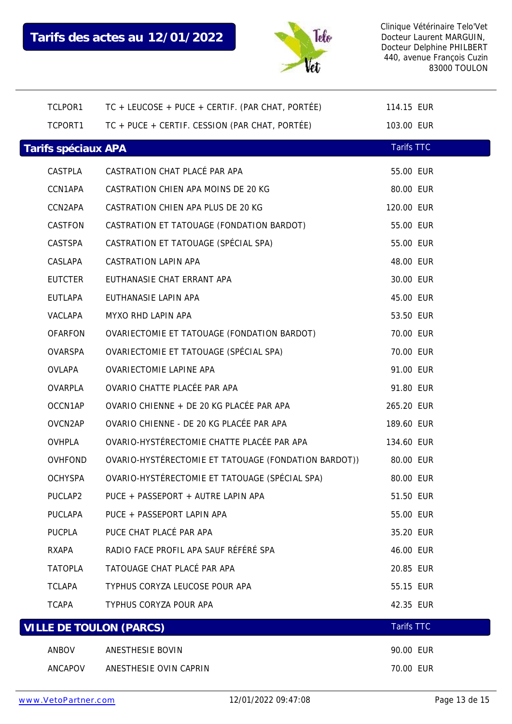

| TCLPOR1             | TC + LEUCOSE + PUCE + CERTIF. (PAR CHAT, PORTÉE)     | 114.15 EUR        |  |
|---------------------|------------------------------------------------------|-------------------|--|
| TCPORT1             | TC + PUCE + CERTIF. CESSION (PAR CHAT, PORTÉE)       | 103.00 EUR        |  |
| Tarifs spéciaux APA |                                                      | <b>Tarifs TTC</b> |  |
| CASTPLA             | CASTRATION CHAT PLACÉ PAR APA                        | 55.00 EUR         |  |
| CCN1APA             | CASTRATION CHIEN APA MOINS DE 20 KG                  | 80.00 EUR         |  |
| CCN2APA             | CASTRATION CHIEN APA PLUS DE 20 KG                   | 120.00 EUR        |  |
| CASTFON             | CASTRATION ET TATOUAGE (FONDATION BARDOT)            | 55.00 EUR         |  |
| CASTSPA             | CASTRATION ET TATOUAGE (SPÉCIAL SPA)                 | 55.00 EUR         |  |
| CASLAPA             | CASTRATION LAPIN APA                                 | 48.00 EUR         |  |
| <b>EUTCTER</b>      | EUTHANASIE CHAT ERRANT APA                           | 30.00 EUR         |  |
| <b>EUTLAPA</b>      | EUTHANASIE LAPIN APA                                 | 45.00 EUR         |  |
| VACLAPA             | MYXO RHD LAPIN APA                                   | 53.50 EUR         |  |
| <b>OFARFON</b>      | OVARIECTOMIE ET TATOUAGE (FONDATION BARDOT)          | 70.00 EUR         |  |
| <b>OVARSPA</b>      | OVARIECTOMIE ET TATOUAGE (SPÉCIAL SPA)               | 70.00 EUR         |  |
| OVLAPA              | OVARIECTOMIE LAPINE APA                              | 91.00 EUR         |  |
| OVARPLA             | OVARIO CHATTE PLACÉE PAR APA                         | 91.80 EUR         |  |
| OCCN1AP             | OVARIO CHIENNE + DE 20 KG PLACÉE PAR APA             | 265.20 EUR        |  |
| OVCN2AP             | OVARIO CHIENNE - DE 20 KG PLACÉE PAR APA             | 189.60 EUR        |  |
| OVHPLA              | OVARIO-HYSTÉRECTOMIE CHATTE PLACÉE PAR APA           | 134.60 EUR        |  |
| <b>OVHFOND</b>      | OVARIO-HYSTÉRECTOMIE ET TATOUAGE (FONDATION BARDOT)) | 80.00 EUR         |  |
| <b>OCHYSPA</b>      | OVARIO-HYSTÉRECTOMIE ET TATOUAGE (SPÉCIAL SPA)       | 80.00 EUR         |  |
| PUCLAP2             | PUCE + PASSEPORT + AUTRE LAPIN APA                   | 51.50 EUR         |  |
| <b>PUCLAPA</b>      | PUCE + PASSEPORT LAPIN APA                           | 55.00 EUR         |  |
| PUCPLA              | PUCE CHAT PLACÉ PAR APA                              | 35.20 EUR         |  |
| RXAPA               | RADIO FACE PROFIL APA SAUF RÉFÉRÉ SPA                | 46.00 EUR         |  |
| <b>TATOPLA</b>      | TATOUAGE CHAT PLACÉ PAR APA                          | 20.85 EUR         |  |
| <b>TCLAPA</b>       | TYPHUS CORYZA LEUCOSE POUR APA                       | 55.15 EUR         |  |
| <b>TCAPA</b>        | TYPHUS CORYZA POUR APA                               | 42.35 EUR         |  |
|                     | <b>VILLE DE TOULON (PARCS)</b>                       | <b>Tarifs TTC</b> |  |
| ANBOV               | ANESTHESIE BOVIN                                     | 90.00 EUR         |  |
| ANCAPOV             | ANESTHESIE OVIN CAPRIN                               | 70.00 EUR         |  |
|                     |                                                      |                   |  |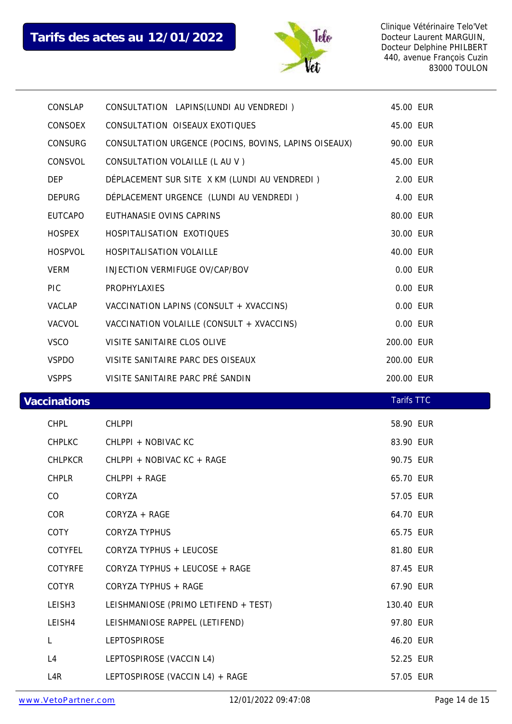

| CONSLAP             | CONSULTATION LAPINS (LUNDI AU VENDREDI)               | 45.00 EUR         |  |
|---------------------|-------------------------------------------------------|-------------------|--|
| CONSOEX             | CONSULTATION OISEAUX EXOTIQUES                        | 45.00 EUR         |  |
| CONSURG             | CONSULTATION URGENCE (POCINS, BOVINS, LAPINS OISEAUX) | 90.00 EUR         |  |
| CONSVOL             | CONSULTATION VOLAILLE (L AU V)                        | 45.00 EUR         |  |
| <b>DEP</b>          | DÉPLACEMENT SUR SITE X KM (LUNDI AU VENDREDI)         | 2.00 EUR          |  |
| <b>DEPURG</b>       | DÉPLACEMENT URGENCE (LUNDI AU VENDREDI)               | 4.00 EUR          |  |
| EUTCAPO             | EUTHANASIE OVINS CAPRINS                              | 80.00 EUR         |  |
| <b>HOSPEX</b>       | HOSPITALISATION EXOTIQUES                             | 30.00 EUR         |  |
| HOSPVOL             | HOSPITALISATION VOLAILLE                              | 40.00 EUR         |  |
| <b>VERM</b>         | INJECTION VERMIFUGE OV/CAP/BOV                        | 0.00 EUR          |  |
| <b>PIC</b>          | PROPHYLAXIES                                          | 0.00 EUR          |  |
| VACLAP              | VACCINATION LAPINS (CONSULT + XVACCINS)               | 0.00 EUR          |  |
| VACVOL              | VACCINATION VOLAILLE (CONSULT + XVACCINS)             | 0.00 EUR          |  |
| <b>VSCO</b>         | VISITE SANITAIRE CLOS OLIVE                           | 200.00 EUR        |  |
| <b>VSPDO</b>        | VISITE SANITAIRE PARC DES OISEAUX                     | 200.00 EUR        |  |
| <b>VSPPS</b>        | VISITE SANITAIRE PARC PRÉ SANDIN                      | 200.00 EUR        |  |
|                     |                                                       |                   |  |
| <b>Vaccinations</b> |                                                       | <b>Tarifs TTC</b> |  |
| <b>CHPL</b>         | <b>CHLPPI</b>                                         | 58.90 EUR         |  |
| CHPLKC              | CHLPPI + NOBIVAC KC                                   | 83.90 EUR         |  |
| CHLPKCR             | CHLPPI + NOBIVAC KC + RAGE                            | 90.75 EUR         |  |
| <b>CHPLR</b>        | CHLPPI + RAGE                                         | 65.70 EUR         |  |
| CO                  | CORYZA                                                | 57.05 EUR         |  |
| COR                 | CORYZA + RAGE                                         | 64.70 EUR         |  |
| COTY                | <b>CORYZA TYPHUS</b>                                  | 65.75 EUR         |  |
| COTYFEL             | CORYZA TYPHUS + LEUCOSE                               | 81.80 EUR         |  |
| <b>COTYRFE</b>      | CORYZA TYPHUS + LEUCOSE + RAGE                        | 87.45 EUR         |  |
| COTYR               | CORYZA TYPHUS + RAGE                                  | 67.90 EUR         |  |
| LEISH3              | LEISHMANIOSE (PRIMO LETIFEND + TEST)                  | 130.40 EUR        |  |
| LEISH4              | LEISHMANIOSE RAPPEL (LETIFEND)                        | 97.80 EUR         |  |
| L.                  | <b>LEPTOSPIROSE</b>                                   | 46.20 EUR         |  |
| L4                  | LEPTOSPIROSE (VACCIN L4)                              | 52.25 EUR         |  |
| L <sub>4</sub> R    | LEPTOSPIROSE (VACCIN L4) + RAGE                       | 57.05 EUR         |  |